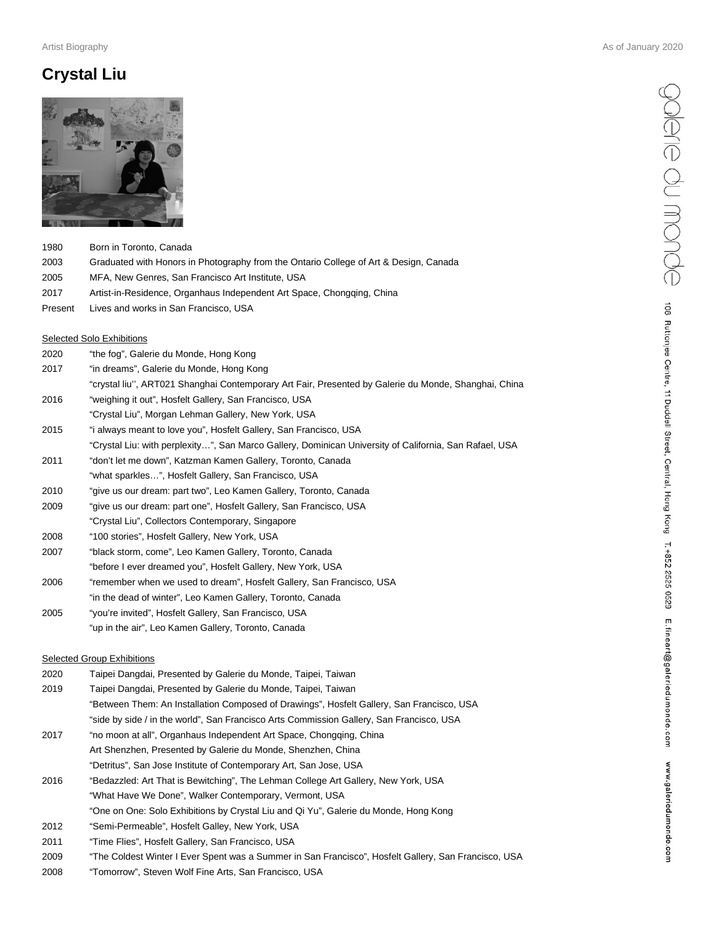## **Crystal Liu**



| 1980 | Born in Toronto. Canada                                                               |
|------|---------------------------------------------------------------------------------------|
| 2003 | Graduated with Honors in Photography from the Ontario College of Art & Design, Canada |

- 2005 MFA, New Genres, San Francisco Art Institute, USA
- 2017 Artist-in-Residence, Organhaus Independent Art Space, Chongqing, China
- Present Lives and works in San Francisco, USA

#### Selected Solo Exhibitions

- 2020 "the fog", Galerie du Monde, Hong Kong
- 2017 "in dreams", Galerie du Monde, Hong Kong
- "crystal liu'', ART021 Shanghai Contemporary Art Fair, Presented by Galerie du Monde, Shanghai, China
- 2016 "weighing it out", Hosfelt Gallery, San Francisco, USA
- "Crystal Liu", Morgan Lehman Gallery, New York, USA
- 2015 "i always meant to love you", Hosfelt Gallery, San Francisco, USA
- "Crystal Liu: with perplexity…", San Marco Gallery, Dominican University of California, San Rafael, USA
- 2011 "don't let me down", Katzman Kamen Gallery, Toronto, Canada
- "what sparkles…", Hosfelt Gallery, San Francisco, USA
- 2010 "give us our dream: part two", Leo Kamen Gallery, Toronto, Canada
- 2009 "give us our dream: part one", Hosfelt Gallery, San Francisco, USA
- "Crystal Liu", Collectors Contemporary, Singapore
- 2008 "100 stories", Hosfelt Gallery, New York, USA
- 2007 "black storm, come", Leo Kamen Gallery, Toronto, Canada "before I ever dreamed you", Hosfelt Gallery, New York, USA
- 2006 "remember when we used to dream", Hosfelt Gallery, San Francisco, USA "in the dead of winter", Leo Kamen Gallery, Toronto, Canada
- 2005 "you're invited", Hosfelt Gallery, San Francisco, USA
- "up in the air", Leo Kamen Gallery, Toronto, Canada

#### Selected Group Exhibitions

| 2020 | Taipei Dangdai, Presented by Galerie du Monde, Taipei, Taiwan                                        |
|------|------------------------------------------------------------------------------------------------------|
| 2019 | Taipei Dangdai, Presented by Galerie du Monde, Taipei, Taiwan                                        |
|      | "Between Them: An Installation Composed of Drawings", Hosfelt Gallery, San Francisco, USA            |
|      | "side by side / in the world", San Francisco Arts Commission Gallery, San Francisco, USA             |
| 2017 | "no moon at all", Organhaus Independent Art Space, Chongging, China                                  |
|      | Art Shenzhen, Presented by Galerie du Monde, Shenzhen, China                                         |
|      | "Detritus", San Jose Institute of Contemporary Art, San Jose, USA                                    |
| 2016 | "Bedazzled: Art That is Bewitching", The Lehman College Art Gallery, New York, USA                   |
|      | "What Have We Done", Walker Contemporary, Vermont, USA                                               |
|      | "One on One: Solo Exhibitions by Crystal Liu and Qi Yu", Galerie du Monde, Hong Kong                 |
| 2012 | "Semi-Permeable", Hosfelt Galley, New York, USA                                                      |
| 2011 | "Time Flies", Hosfelt Gallery, San Francisco, USA                                                    |
| 2009 | "The Coldest Winter I Ever Spent was a Summer in San Francisco", Hosfelt Gallery, San Francisco, USA |
|      |                                                                                                      |

2008 "Tomorrow", Steven Wolf Fine Arts, San Francisco, USA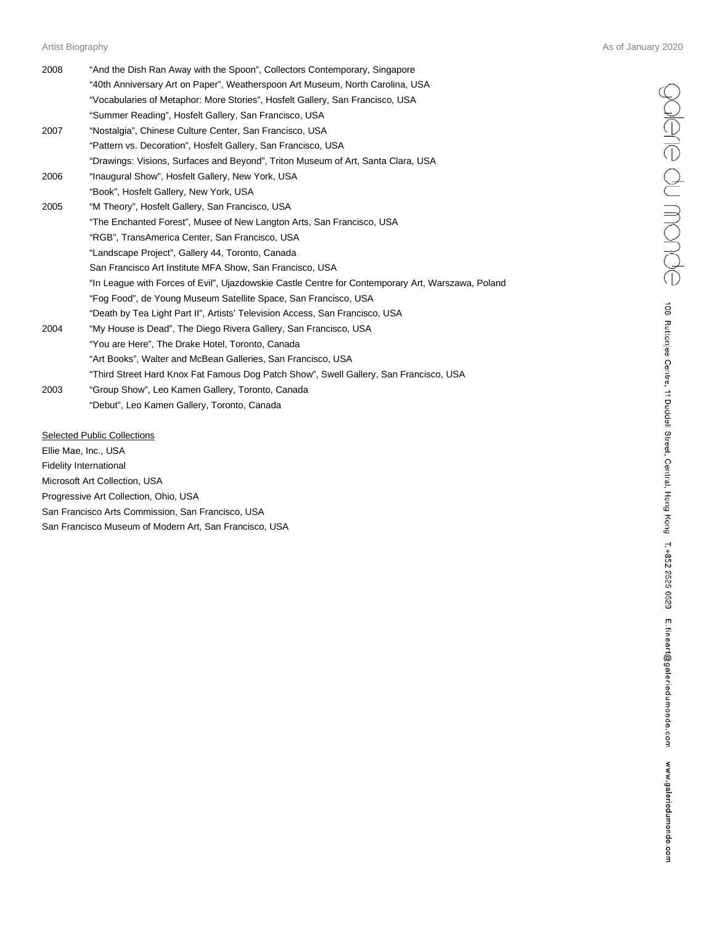| 2008 | "And the Dish Ran Away with the Spoon", Collectors Contemporary, Singapore<br>"40th Anniversary Art on Paper", Weatherspoon Art Museum, North Carolina, USA |
|------|-------------------------------------------------------------------------------------------------------------------------------------------------------------|
|      | "Vocabularies of Metaphor: More Stories", Hosfelt Gallery, San Francisco, USA                                                                               |
|      | "Summer Reading", Hosfelt Gallery, San Francisco, USA                                                                                                       |
| 2007 | "Nostalgia", Chinese Culture Center, San Francisco, USA                                                                                                     |
|      | "Pattern vs. Decoration", Hosfelt Gallery, San Francisco, USA                                                                                               |
|      | "Drawings: Visions, Surfaces and Beyond", Triton Museum of Art, Santa Clara, USA                                                                            |
| 2006 | "Inaugural Show", Hosfelt Gallery, New York, USA                                                                                                            |
|      | "Book", Hosfelt Gallery, New York, USA                                                                                                                      |
| 2005 | "M Theory", Hosfelt Gallery, San Francisco, USA                                                                                                             |
|      | "The Enchanted Forest", Musee of New Langton Arts, San Francisco, USA                                                                                       |
|      | "RGB", TransAmerica Center, San Francisco, USA                                                                                                              |
|      | "Landscape Project", Gallery 44, Toronto, Canada                                                                                                            |
|      | San Francisco Art Institute MFA Show, San Francisco, USA                                                                                                    |
|      | "In League with Forces of Evil", Ujazdowskie Castle Centre for Contemporary Art, Warszawa, Poland                                                           |
|      | "Fog Food", de Young Museum Satellite Space, San Francisco, USA                                                                                             |
|      | "Death by Tea Light Part II", Artists' Television Access, San Francisco, USA                                                                                |
| 2004 | "My House is Dead", The Diego Rivera Gallery, San Francisco, USA                                                                                            |
|      | "You are Here", The Drake Hotel, Toronto, Canada                                                                                                            |
|      | "Art Books", Walter and McBean Galleries, San Francisco, USA                                                                                                |
|      | "Third Street Hard Knox Fat Famous Dog Patch Show", Swell Gallery, San Francisco, USA                                                                       |
| 2003 | "Group Show", Leo Kamen Gallery, Toronto, Canada                                                                                                            |
|      | "Debut", Leo Kamen Gallery, Toronto, Canada                                                                                                                 |

Selected Public Collections

Ellie Mae, Inc., USA Fidelity International Microsoft Art Collection, USA Progressive Art Collection, Ohio, USA

San Francisco Arts Commission, San Francisco, USA

San Francisco Museum of Modern Art, San Francisco, USA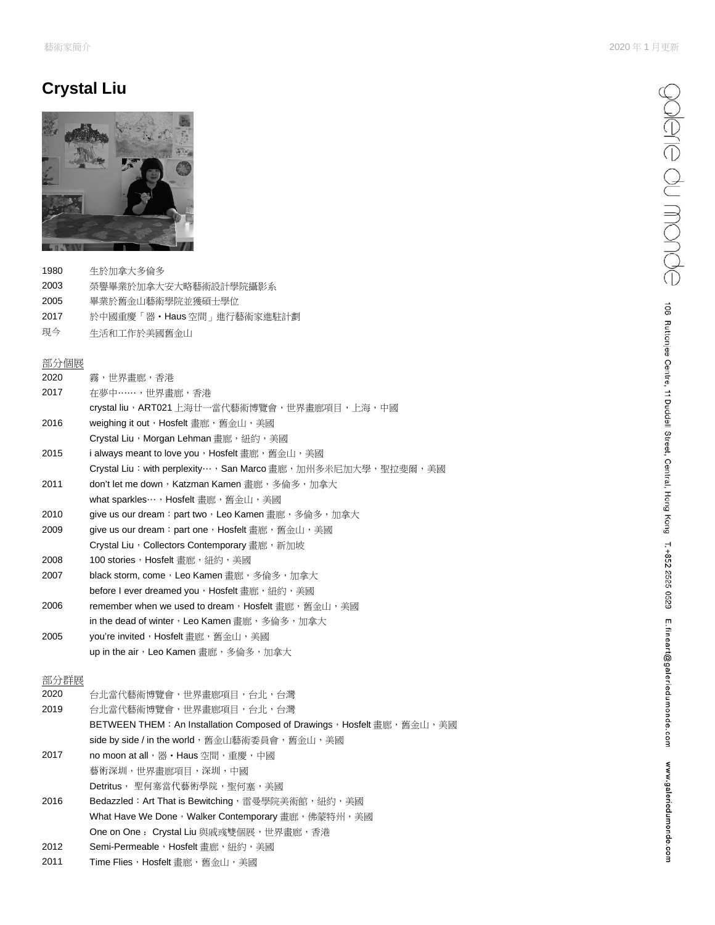# **Crystal Liu**



- 1980 生於加拿大多倫多
- 2003 榮譽畢業於加拿大安大略藝術設計學院攝影系
- 2005 畢業於舊金山藝術學院並獲碩士學位
- 2017 於中國重慶「器•Haus 空間」進行藝術家進駐計劃
- 現今 生活和工作於美國舊金山

### 部分個展

| 2020 | 霧,世界書廊,香港                                                               |
|------|-------------------------------------------------------------------------|
| 2017 | 在夢中……,丗界書廊,香港                                                           |
|      | crystal liu,ART021 上海廿一當代藝術博覽會,世界畫廊項目,上海,中國                             |
| 2016 | weighing it out, Hosfelt 書廊, 舊金山, 美國                                    |
|      | Crystal Liu, Morgan Lehman 書廊, 紐約, 美國                                   |
| 2015 | i always meant to love you,Hosfelt 畫廊,舊金山,美國                            |
|      | Crystal Liu:with perplexity…,San Marco 畫廊,加州多米尼加大學,聖拉斐爾,美國              |
| 2011 | don't let me down,Katzman Kamen 畫廊,多倫多,加拿大                              |
|      | what sparkles…, Hosfelt 書廊, 舊金山, 美國                                     |
| 2010 | give us our dream:part two,Leo Kamen 畫廊,多倫多,加拿大                         |
| 2009 | give us our dream: part one, Hosfelt 畫廊, 舊金山, 美國                        |
|      | Crystal Liu, Collectors Contemporary 書廊, 新加坡                            |
| 2008 | 100 stories,Hosfelt 書廊,紐約,美國                                            |
| 2007 | black storm, come,Leo Kamen 書廊,多倫多,加拿大                                  |
|      | before I ever dreamed you,Hosfelt 書廊,紐約,美國                              |
| 2006 | remember when we used to dream, Hosfelt 書廊, 舊金山, 美國                     |
|      | in the dead of winter,Leo Kamen 畫廊,多倫多,加拿大                              |
| 2005 | you're invited,Hosfelt 畫廊,舊金山,美國                                        |
|      | up in the air,Leo Kamen 畫廊,多倫多,加拿大                                      |
| 部分群展 |                                                                         |
| 2020 | 台北當代藝術博覽會,世界畫廊項目,台北,台灣                                                  |
| 2019 | 台北當代藝術博覽會,世界書廊項目,台北,台灣                                                  |
|      | BETWEEN THEM: An Installation Composed of Drawings, Hosfelt 畫廊, 舊金山, 美國 |
|      | side by side / in the world, 舊金山藝術委員會, 舊金山, 美國                          |

- 2017 no moon at all, 器 Haus 空間, 重慶, 中國 藝術深圳,世界畫廊項目,深圳,中國 Detritus, 聖何塞當代藝術學院, 聖何塞, 美國
- 2016 Bedazzled: Art That is Bewitching, 雷曼學院美術館, 紐約, 美國 What Have We Done, Walker Contemporary 畫廊,佛蒙特州,美國 One on One: Crystal Liu 與戚彧雙個展,世界畫廊,香港 2012 Semi-Permeable, Hosfelt 畫廊, 紐約, 美國
- 
- 2011 Time Flies, Hosfelt 畫廊,舊金山,美國